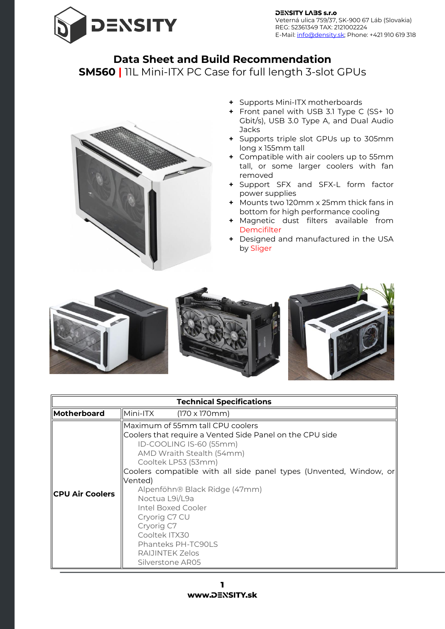

## **Data Sheet and Build Recommendation**

**SM560 |** 11L Mini-ITX PC Case for full length 3-slot GPUs



- **+** Supports Mini-ITX motherboards
- **+** Front panel with USB 3.1 Type C (SS+ 10 Gbit/s), USB 3.0 Type A, and Dual Audio Jacks
- **+** Supports triple slot GPUs up to 305mm long x 155mm tall
- **+** Compatible with air coolers up to 55mm tall, or some larger coolers with fan removed
- **+** Support SFX and SFX-L form factor power supplies
- **+** Mounts two 120mm x 25mm thick fans in bottom for high performance cooling
- **+** Magnetic dust filters available from [Demcifilter](https://www.density.sk/product-category/dust-filters/)
- **+** Designed and manufactured in the USA by Sliger



| <b>Technical Specifications</b> |                                                                                                                                                                                                                                                                                                                                                                                                                                                    |  |  |
|---------------------------------|----------------------------------------------------------------------------------------------------------------------------------------------------------------------------------------------------------------------------------------------------------------------------------------------------------------------------------------------------------------------------------------------------------------------------------------------------|--|--|
| Motherboard                     | Mini-ITX<br>$(170 \times 170 \text{mm})$                                                                                                                                                                                                                                                                                                                                                                                                           |  |  |
| <b>CPU Air Coolers</b>          | Maximum of 55mm tall CPU coolers<br>Coolers that require a Vented Side Panel on the CPU side<br>ID-COOLING IS-60 (55mm)<br>AMD Wraith Stealth (54mm)<br>Cooltek LP53 (53mm)<br>Coolers compatible with all side panel types (Unvented, Window, or<br>Vented)<br>Alpenföhn® Black Ridge (47mm)<br>Noctua L9i/L9a<br>Intel Boxed Cooler<br>Cryorig C7 CU<br>Cryorig C7<br>Cooltek ITX30<br>Phanteks PH-TC90LS<br>RAIJINTEK Zelos<br>Silverstone AR05 |  |  |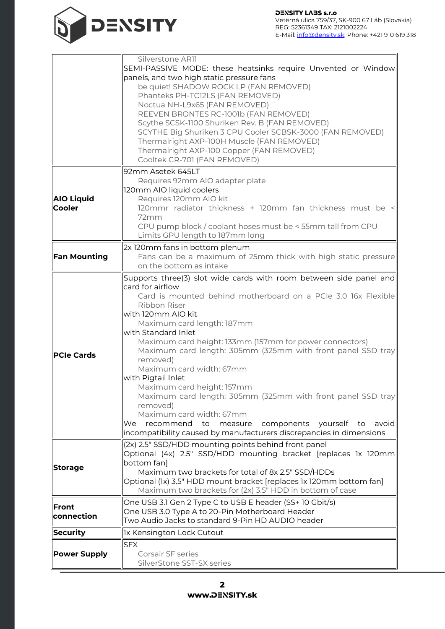

|                                    | Silverstone AR11<br>SEMI-PASSIVE MODE: these heatsinks require Unvented or Window<br>panels, and two high static pressure fans<br>be quiet! SHADOW ROCK LP (FAN REMOVED)<br>Phanteks PH-TC12LS (FAN REMOVED)<br>Noctua NH-L9x65 (FAN REMOVED)<br>REEVEN BRONTES RC-1001b (FAN REMOVED)<br>Scythe SCSK-1100 Shuriken Rev. B (FAN REMOVED)<br>SCYTHE Big Shuriken 3 CPU Cooler SCBSK-3000 (FAN REMOVED)<br>Thermalright AXP-100H Muscle (FAN REMOVED)                                                                                                                                                                                                                                                                    |
|------------------------------------|------------------------------------------------------------------------------------------------------------------------------------------------------------------------------------------------------------------------------------------------------------------------------------------------------------------------------------------------------------------------------------------------------------------------------------------------------------------------------------------------------------------------------------------------------------------------------------------------------------------------------------------------------------------------------------------------------------------------|
|                                    | Thermalright AXP-100 Copper (FAN REMOVED)<br>Cooltek CR-701 (FAN REMOVED)                                                                                                                                                                                                                                                                                                                                                                                                                                                                                                                                                                                                                                              |
| <b>AIO Liquid</b><br><b>Cooler</b> | 92mm Asetek 645LT<br>Requires 92mm AIO adapter plate<br>120mm AIO liquid coolers<br>Requires 120mm AIO kit<br>120mmr radiator thickness + 120mm fan thickness must be <<br>72mm<br>CPU pump block / coolant hoses must be < 55mm tall from CPU<br>Limits GPU length to 187mm long                                                                                                                                                                                                                                                                                                                                                                                                                                      |
| <b>Fan Mounting</b>                | 2x 120mm fans in bottom plenum<br>Fans can be a maximum of 25mm thick with high static pressure<br>on the bottom as intake                                                                                                                                                                                                                                                                                                                                                                                                                                                                                                                                                                                             |
| <b>PCIe Cards</b>                  | Supports three(3) slot wide cards with room between side panel and<br>card for airflow<br>Card is mounted behind motherboard on a PCIe 3.0 16x Flexible<br>Ribbon Riser<br>with 120mm AIO kit<br>Maximum card length: 187mm<br>with Standard Inlet<br>Maximum card height: 133mm (157mm for power connectors)<br>Maximum card length: 305mm (325mm with front panel SSD tray<br>removed)<br>Maximum card width: 67mm<br>with Pigtail Inlet<br>Maximum card height: 157mm<br>Maximum card length: 305mm (325mm with front panel SSD tray<br>removed)<br>Maximum card width: 67mm<br>recommend to measure components yourself to<br>We .<br>avoid<br>incompatibility caused by manufacturers discrepancies in dimensions |
| <b>Storage</b>                     | (2x) 2.5" SSD/HDD mounting points behind front panel<br>Optional (4x) 2.5" SSD/HDD mounting bracket [replaces 1x 120mm<br>bottom fan]<br>Maximum two brackets for total of 8x 2.5" SSD/HDDs<br>Optional (1x) 3.5" HDD mount bracket [replaces 1x 120mm bottom fan]<br>Maximum two brackets for (2x) 3.5" HDD in bottom of case                                                                                                                                                                                                                                                                                                                                                                                         |
| Front<br>connection                | One USB 3.1 Gen 2 Type C to USB E header (SS+ 10 Gbit/s)<br>One USB 3.0 Type A to 20-Pin Motherboard Header<br>Two Audio Jacks to standard 9-Pin HD AUDIO header                                                                                                                                                                                                                                                                                                                                                                                                                                                                                                                                                       |
| <b>Security</b>                    | 1x Kensington Lock Cutout                                                                                                                                                                                                                                                                                                                                                                                                                                                                                                                                                                                                                                                                                              |
| <b>Power Supply</b>                | <b>SFX</b><br>Corsair SF series<br>SilverStone SST-SX series                                                                                                                                                                                                                                                                                                                                                                                                                                                                                                                                                                                                                                                           |